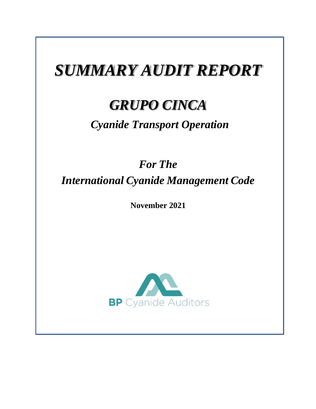# *SUMMARY AUDIT REPORT*

# *GRUPO CINCA*

# *Cyanide Transport Operation*

# *For The International Cyanide Management Code*

**November 2021**

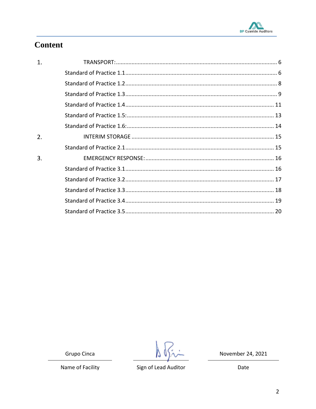

# **Content**

| 1. |  |
|----|--|
|    |  |
|    |  |
|    |  |
|    |  |
|    |  |
|    |  |
| 2. |  |
|    |  |
| 3. |  |
|    |  |
|    |  |
|    |  |
|    |  |
|    |  |
|    |  |

Grupo Cinca

19

November 24, 2021

Name of Facility

Sign of Lead Auditor

Date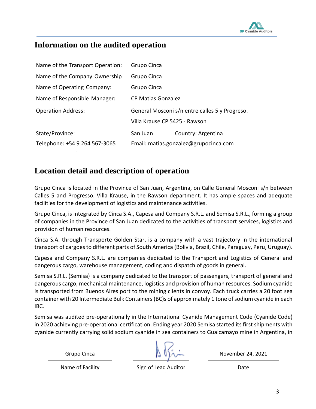

#### **Information on the audited operation**

| Name of the Transport Operation: | Grupo Cinca                                    |                    |
|----------------------------------|------------------------------------------------|--------------------|
| Name of the Company Ownership    | Grupo Cinca                                    |                    |
| Name of Operating Company:       | Grupo Cinca                                    |                    |
| Name of Responsible Manager:     | CP Matias Gonzalez                             |                    |
| <b>Operation Address:</b>        | General Mosconi s/n entre calles 5 y Progreso. |                    |
|                                  | Villa Krause CP 5425 - Rawson                  |                    |
| State/Province:                  | San Juan                                       | Country: Argentina |
| Telephone: +54 9 264 567-3065    | Email: matias.gonzalez@grupocinca.com          |                    |
|                                  |                                                |                    |

#### **Location detail and description of operation**

+571 658 1100 | +571 658 1090 |

Grupo Cinca is located in the Province of San Juan, Argentina, on Calle General Mosconi s/n between Calles 5 and Progresso. Villa Krause, in the Rawson department. It has ample spaces and adequate facilities for the development of logistics and maintenance activities.

Grupo Cinca, is integrated by Cinca S.A., Capesa and Company S.R.L. and Semisa S.R.L., forming a group of companies in the Province of San Juan dedicated to the activities of transport services, logistics and provision of human resources.

Cinca S.A. through Transporte Golden Star, is a company with a vast trajectory in the international transport of cargoes to different parts of South America (Bolivia, Brazil, Chile, Paraguay, Peru, Uruguay).

Capesa and Company S.R.L. are companies dedicated to the Transport and Logistics of General and dangerous cargo, warehouse management, coding and dispatch of goods in general.

Semisa S.R.L. (Semisa) is a company dedicated to the transport of passengers, transport of general and dangerous cargo, mechanical maintenance, logistics and provision of human resources. Sodium cyanide is transported from Buenos Aires port to the mining clients in convoy. Each truck carries a 20 foot sea container with 20 Intermediate Bulk Containers (BC)s of approximately 1 tone of sodium cyanide in each IBC.

Semisa was audited pre-operationally in the International Cyanide Management Code (Cyanide Code) in 2020 achieving pre-operational certification. Ending year 2020 Semisa started its first shipments with cyanide currently carrying solid sodium cyanide in sea containers to Gualcamayo mine in Argentina, in

Name of Facility **Sign of Lead Auditor Shape Club** Date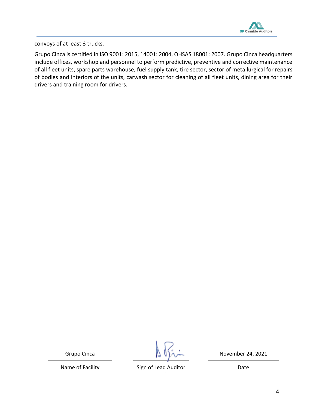

convoys of at least 3 trucks.

Grupo Cinca is certified in ISO 9001: 2015, 14001: 2004, OHSAS 18001: 2007. Grupo Cinca headquarters include offices, workshop and personnel to perform predictive, preventive and corrective maintenance of all fleet units, spare parts warehouse, fuel supply tank, tire sector, sector of metallurgical for repairs of bodies and interiors of the units, carwash sector for cleaning of all fleet units, dining area for their drivers and training room for drivers.

Grupo Cinca  $\begin{pmatrix} 1 & 1 \\ 1 & 1 \end{pmatrix}$  November 24, 2021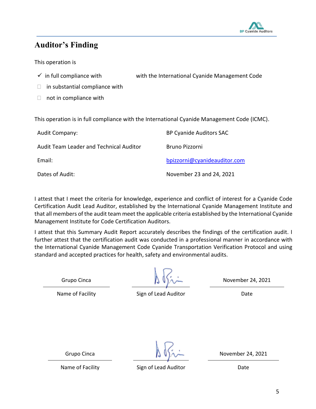

#### **Auditor's Finding**

This operation is

- $\checkmark$  in full compliance with with the International Cyanide Management Code
- $\Box$  in substantial compliance with
- $\Box$  not in compliance with

This operation is in full compliance with the International Cyanide Management Code (ICMC).

| <b>Audit Company:</b>                   | <b>BP Cyanide Auditors SAC</b> |
|-----------------------------------------|--------------------------------|
| Audit Team Leader and Technical Auditor | Bruno Pizzorni                 |
| Email:                                  | bpizzorni@cyanideauditor.com   |
| Dates of Audit:                         | November 23 and 24, 2021       |

I attest that I meet the criteria for knowledge, experience and conflict of interest for a Cyanide Code Certification Audit Lead Auditor, established by the International Cyanide Management Institute and that all members of the audit team meet the applicable criteria established by the International Cyanide Management Institute for Code Certification Auditors.

I attest that this Summary Audit Report accurately describes the findings of the certification audit. I further attest that the certification audit was conducted in a professional manner in accordance with the International Cyanide Management Code Cyanide Transportation Verification Protocol and using standard and accepted practices for health, safety and environmental audits.

Grupo Cinca  $\left(\begin{array}{ccc} \sqrt{11} & \sqrt{11} & \sqrt{11} \\ \sqrt{11} & \sqrt{11} & \sqrt{11} \\ \sqrt{11} & \sqrt{11} & \sqrt{11} \\ \sqrt{11} & \sqrt{11} & \sqrt{11} \\ \sqrt{11} & \sqrt{11} & \sqrt{11} \\ \sqrt{11} & \sqrt{11} & \sqrt{11} \\ \sqrt{11} & \sqrt{11} & \sqrt{11} \\ \sqrt{11} & \sqrt{11} & \sqrt{11} \\ \sqrt{11} & \sqrt{11} & \sqrt{11} \\ \sqrt{11} & \sqrt{$ 

Name of Facility **Sign of Lead Auditor** Date Date

Grupo Cinca  $\begin{pmatrix} 1 & 1 \\ 1 & 1 \end{pmatrix}$   $\begin{pmatrix} 1 & 1 \\ 1 & 1 \end{pmatrix}$  November 24, 2021

Name of Facility Sign of Lead Auditor Name of Facility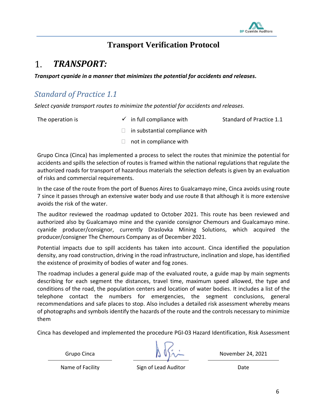

### **Transport Verification Protocol**

#### <span id="page-5-0"></span>*TRANSPORT:*  $1_{-}$

*Transport cyanide in a manner that minimizes the potential for accidents and releases.*

## <span id="page-5-1"></span>*Standard of Practice 1.1*

*Select cyanide transport routes to minimize the potential for accidents and releases.*

The operation is  $\checkmark$  in full compliance with Standard of Practice 1.1

- $\Box$  in substantial compliance with
- $\Box$  not in compliance with

Grupo Cinca (Cinca) has implemented a process to select the routes that minimize the potential for accidents and spills the selection of routes is framed within the national regulations that regulate the authorized roads for transport of hazardous materials the selection defeats is given by an evaluation of risks and commercial requirements.

In the case of the route from the port of Buenos Aires to Gualcamayo mine, Cinca avoids using route 7 since it passes through an extensive water body and use route 8 that although it is more extensive avoids the risk of the water.

The auditor reviewed the roadmap updated to October 2021. This route has been reviewed and authorized also by Gualcamayo mine and the cyanide consignor Chemours and Gualcamayo mine. cyanide producer/consignor, currently Draslovka Mining Solutions, which acquired the producer/consigner The Chemours Company as of December 2021.

Potential impacts due to spill accidents has taken into account. Cinca identified the population density, any road construction, driving in the road infrastructure, inclination and slope, has identified the existence of proximity of bodies of water and fog zones.

The roadmap includes a general guide map of the evaluated route, a guide map by main segments describing for each segment the distances, travel time, maximum speed allowed, the type and conditions of the road, the population centers and location of water bodies. It includes a list of the telephone contact the numbers for emergencies, the segment conclusions, general recommendations and safe places to stop. Also includes a detailed risk assessment whereby means of photographs and symbols identify the hazards of the route and the controls necessary to minimize them

Cinca has developed and implemented the procedure PGI-03 Hazard Identification, Risk Assessment

Name of Facility **Sign of Lead Auditor Shape Club** Date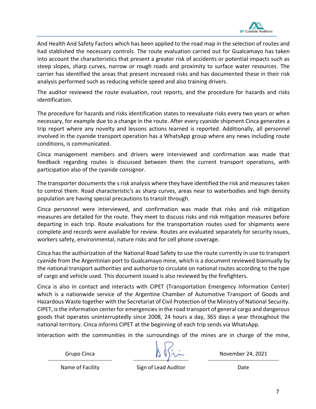

And Health And Safety Factors which has been applied to the road map in the selection of routes and had stablished the necessary controls. The route evaluation carried out for Gualcamayo has taken into account the characteristics that present a greater risk of accidents or potential impacts such as steep slopes, sharp curves, narrow or rough roads and proximity to surface water resources. The carrier has identified the areas that present increased risks and has documented these in their risk analysis performed such as reducing vehicle speed and also training drivers.

The auditor reviewed the route evaluation, rout reports, and the procedure for hazards and risks identification.

The procedure for hazards and risks identification states to reevaluate risks every two years or when necessary, for example due to a change in the route. After every cyanide shipment Cinca generates a trip report where any novelty and lessons actions learned is reported. Additionally, all personnel involved in the cyanide transport operation has a WhatsApp group where any news including route conditions, is communicated.

Cinca management members and drivers were interviewed and confirmation was made that feedback regarding routes is discussed between them the current transport operations, with participation also of the cyanide consignor.

The transporter documents the s risk analysis where they have identified the risk and measures taken to control them. Road characteristic's as sharp curves, areas near to waterbodies and high density population are having special precautions to transit through.

Cinca personnel were interviewed, and confirmation was made that risks and risk mitigation measures are detailed for the route. They meet to discuss risks and risk mitigation measures before departing in each trip. Route evaluations for the transportation routes used for shipments were complete and records were available for review. Routes are evaluated separately for security issues, workers safety, environmental, nature risks and for cell phone coverage.

Cinca has the authorization of the National Road Safety to use the route currently in use to transport cyanide from the Argentinian port to Gualcamayo mine, which is a document reviewed biannually by the national transport authorities and authorize to circulate on national routes according to the type of cargo and vehicle used. This document issued is also reviewed by the firefighters.

Cinca is also in contact and interacts with CIPET (Transportation Emergency Information Center) which is a nationwide service of the Argentine Chamber of Automotive Transport of Goods and Hazardous Waste together with the Secretariat of Civil Protection of the Ministry of National Security. CIPET, is the information center for emergencies in the road transport of general cargo and dangerous goods that operates uninterruptedly since 2008, 24 hours a day, 365 days a year throughout the national territory. Cinca informs CIPET at the beginning of each trip sends via WhatsApp.

Interaction with the communities in the surroundings of the mines are in charge of the mine,

Grupo Cinca  $\mathbb{A} \cup \mathbb{A}$  November 24, 2021

Name of Facility **Sign of Lead Auditor Shape Club** Date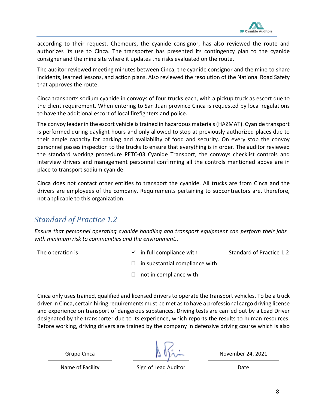

according to their request. Chemours, the cyanide consignor, has also reviewed the route and authorizes its use to Cinca. The transporter has presented its contingency plan to the cyanide consigner and the mine site where it updates the risks evaluated on the route.

The auditor reviewed meeting minutes between Cinca, the cyanide consignor and the mine to share incidents, learned lessons, and action plans. Also reviewed the resolution of the National Road Safety that approves the route.

Cinca transports sodium cyanide in convoys of four trucks each, with a pickup truck as escort due to the client requirement. When entering to San Juan province Cinca is requested by local regulations to have the additional escort of local firefighters and police.

The convoy leader in the escort vehicle is trained in hazardous materials (HAZMAT). Cyanide transport is performed during daylight hours and only allowed to stop at previously authorized places due to their ample capacity for parking and availability of food and security. On every stop the convoy personnel passes inspection to the trucks to ensure that everything is in order. The auditor reviewed the standard working procedure PETC-03 Cyanide Transport, the convoys checklist controls and interview drivers and management personnel confirming all the controls mentioned above are in place to transport sodium cyanide.

Cinca does not contact other entities to transport the cyanide. All trucks are from Cinca and the drivers are employees of the company. Requirements pertaining to subcontractors are, therefore, not applicable to this organization.

## <span id="page-7-0"></span>*Standard of Practice 1.2*

*Ensure that personnel operating cyanide handling and transport equipment can perform their jobs with minimum risk to communities and the environment..*

- The operation is  $\checkmark$  in full compliance with Standard of Practice 1.2
	- $\Box$  in substantial compliance with
	- $\Box$  not in compliance with

Cinca only uses trained, qualified and licensed drivers to operate the transport vehicles. To be a truck driver in Cinca, certain hiring requirements must be met as to have a professional cargo driving license and experience on transport of dangerous substances. Driving tests are carried out by a Lead Driver designated by the transporter due to its experience, which reports the results to human resources. Before working, driving drivers are trained by the company in defensive driving course which is also

Name of Facility **Sign of Lead Auditor Shape Club** Date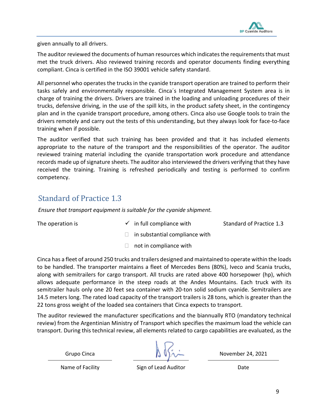

given annually to all drivers.

The auditor reviewed the documents of human resources which indicates the requirements that must met the truck drivers. Also reviewed training records and operator documents finding everything compliant. Cinca is certified in the ISO 39001 vehicle safety standard.

All personnel who operates the trucks in the cyanide transport operation are trained to perform their tasks safely and environmentally responsible. Cinca´s Integrated Management System area is in charge of training the drivers. Drivers are trained in the loading and unloading procedures of their trucks, defensive driving, in the use of the spill kits, in the product safety sheet, in the contingency plan and in the cyanide transport procedure, among others. Cinca also use Google tools to train the drivers remotely and carry out the tests of this understanding, but they always look for face-to-face training when if possible.

The auditor verified that such training has been provided and that it has included elements appropriate to the nature of the transport and the responsibilities of the operator. The auditor reviewed training material including the cyanide transportation work procedure and attendance records made up of signature sheets. The auditor also interviewed the drivers verifying that they have received the training. Training is refreshed periodically and testing is performed to confirm competency.

### <span id="page-8-0"></span>Standard of Practice 1.3

*Ensure that transport equipment is suitable for the cyanide shipment.*

The operation is  $\checkmark$  in full compliance with Standard of Practice 1.3

- $\Box$  in substantial compliance with
- $\Box$  not in compliance with

Cinca has a fleet of around 250 trucks and trailers designed and maintained to operate within the loads to be handled. The transporter maintains a fleet of Mercedes Bens (80%), Iveco and Scania trucks, along with semitrailers for cargo transport. All trucks are rated above 400 horsepower (hp), which allows adequate performance in the steep roads at the Andes Mountains. Each truck with its semitrailer hauls only one 20 feet sea container with 20-ton solid sodium cyanide. Semitrailers are 14.5 meters long. The rated load capacity of the transport trailers is 28 tons, which is greater than the 22 tons gross weight of the loaded sea containers that Cinca expects to transport.

The auditor reviewed the manufacturer specifications and the biannually RTO (mandatory technical review) from the Argentinian Ministry of Transport which specifies the maximum load the vehicle can transport. During this technical review, all elements related to cargo capabilities are evaluated, as the

Name of Facility **Sign of Lead Auditor** Date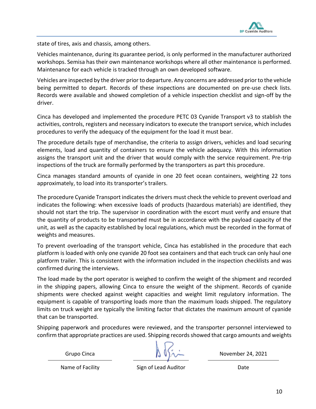

state of tires, axis and chassis, among others.

Vehicles maintenance, during its guarantee period, is only performed in the manufacturer authorized workshops. Semisa has their own maintenance workshops where all other maintenance is performed. Maintenance for each vehicle is tracked through an own developed software.

Vehicles are inspected by the driver prior to departure. Any concerns are addressed prior to the vehicle being permitted to depart. Records of these inspections are documented on pre-use check lists. Records were available and showed completion of a vehicle inspection checklist and sign-off by the driver.

Cinca has developed and implemented the procedure PETC 03 Cyanide Transport v3 to stablish the activities, controls, registers and necessary indicators to execute the transport service, which includes procedures to verify the adequacy of the equipment for the load it must bear.

The procedure details type of merchandise, the criteria to assign drivers, vehicles and load securing elements, load and quantity of containers to ensure the vehicle adequacy. With this information assigns the transport unit and the driver that would comply with the service requirement. Pre-trip inspections of the truck are formally performed by the transporters as part this procedure.

Cinca manages standard amounts of cyanide in one 20 feet ocean containers, weighting 22 tons approximately, to load into its transporter's trailers.

The procedure Cyanide Transport indicates the drivers must check the vehicle to prevent overload and indicates the following: when excessive loads of products (hazardous materials) are identified, they should not start the trip. The supervisor in coordination with the escort must verify and ensure that the quantity of products to be transported must be in accordance with the payload capacity of the unit, as well as the capacity established by local regulations, which must be recorded in the format of weights and measures.

To prevent overloading of the transport vehicle, Cinca has established in the procedure that each platform is loaded with only one cyanide 20 foot sea containers and that each truck can only haul one platform trailer. This is consistent with the information included in the inspection checklists and was confirmed during the interviews.

The load made by the port operator is weighed to confirm the weight of the shipment and recorded in the shipping papers, allowing Cinca to ensure the weight of the shipment. Records of cyanide shipments were checked against weight capacities and weight limit regulatory information. The equipment is capable of transporting loads more than the maximum loads shipped. The regulatory limits on truck weight are typically the limiting factor that dictates the maximum amount of cyanide that can be transported.

Shipping paperwork and procedures were reviewed, and the transporter personnel interviewed to confirm that appropriate practices are used. Shipping records showed that cargo amounts and weights

Grupo Cinca  $\left(\begin{array}{ccc} \Delta & \Delta & \Delta \\ \Delta & \Delta & \Delta \end{array}\right)$  November 24, 2021

Name of Facility **Sign of Lead Auditor** Date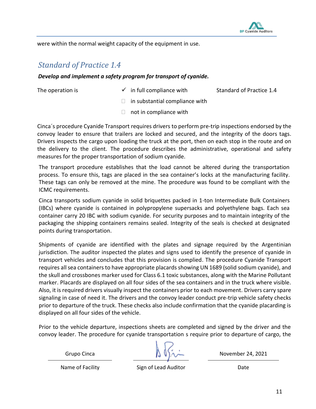

<span id="page-10-0"></span>were within the normal weight capacity of the equipment in use.

#### *Standard of Practice 1.4*

#### *Develop and implement a safety program for transport of cyanide.*

The operation is  $\checkmark$  in full compliance with Standard of Practice 1.4

- $\Box$  in substantial compliance with
- $\Box$  not in compliance with

Cinca´s procedure Cyanide Transport requires drivers to perform pre-trip inspections endorsed by the convoy leader to ensure that trailers are locked and secured, and the integrity of the doors tags. Drivers inspects the cargo upon loading the truck at the port, then on each stop in the route and on the delivery to the client. The procedure describes the administrative, operational and safety measures for the proper transportation of sodium cyanide.

The transport procedure establishes that the load cannot be altered during the transportation process. To ensure this, tags are placed in the sea container's locks at the manufacturing facility. These tags can only be removed at the mine. The procedure was found to be compliant with the ICMC requirements.

Cinca transports sodium cyanide in solid briquettes packed in 1-ton Intermediate Bulk Containers (IBCs) where cyanide is contained in polypropylene supersacks and polyethylene bags. Each sea container carry 20 IBC with sodium cyanide. For security purposes and to maintain integrity of the packaging the shipping containers remains sealed. Integrity of the seals is checked at designated points during transportation.

Shipments of cyanide are identified with the plates and signage required by the Argentinian jurisdiction. The auditor inspected the plates and signs used to identify the presence of cyanide in transport vehicles and concludes that this provision is complied. The procedure Cyanide Transport requires all sea containers to have appropriate placards showing UN 1689 (solid sodium cyanide), and the skull and crossbones marker used for Class 6.1 toxic substances, along with the Marine Pollutant marker. Placards are displayed on all four sides of the sea containers and in the truck where visible. Also, it is required drivers visually inspect the containers prior to each movement. Drivers carry spare signaling in case of need it. The drivers and the convoy leader conduct pre-trip vehicle safety checks prior to departure of the truck. These checks also include confirmation that the cyanide placarding is displayed on all four sides of the vehicle.

Prior to the vehicle departure, inspections sheets are completed and signed by the driver and the convoy leader. The procedure for cyanide transportation s require prior to departure of cargo, the

Name of Facility **Sign of Lead Auditor** Date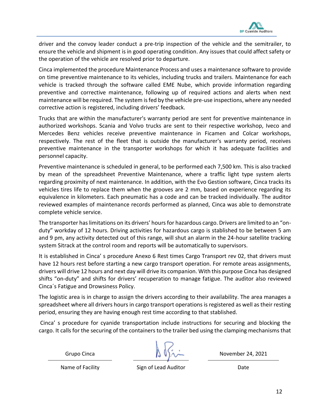

driver and the convoy leader conduct a pre-trip inspection of the vehicle and the semitrailer, to ensure the vehicle and shipment is in good operating condition. Any issues that could affect safety or the operation of the vehicle are resolved prior to departure.

Cinca implemented the procedure Maintenance Process and uses a maintenance software to provide on time preventive maintenance to its vehicles, including trucks and trailers. Maintenance for each vehicle is tracked through the software called EME Nube, which provide information regarding preventive and corrective maintenance, following up of required actions and alerts when next maintenance will be required. The system is fed by the vehicle pre-use inspections, where any needed corrective action is registered, including drivers' feedback.

Trucks that are within the manufacturer's warranty period are sent for preventive maintenance in authorized workshops. Scania and Volvo trucks are sent to their respective workshop, Iveco and Mercedes Benz vehicles receive preventive maintenance in Ficamen and Colcar workshops, respectively. The rest of the fleet that is outside the manufacturer's warranty period, receives preventive maintenance in the transporter workshops for which it has adequate facilities and personnel capacity.

Preventive maintenance is scheduled in general, to be performed each 7,500 km. This is also tracked by mean of the spreadsheet Preventive Maintenance, where a traffic light type system alerts regarding proximity of next maintenance. In addition, with the Evo Gestion software, Cinca tracks its vehicles tires life to replace them when the grooves are 2 mm, based on experience regarding its equivalence in kilometers. Each pneumatic has a code and can be tracked individually. The auditor reviewed examples of maintenance records performed as planned, Cinca was able to demonstrate complete vehicle service.

The transporter has limitations on its drivers' hours for hazardous cargo. Drivers are limited to an "onduty" workday of 12 hours. Driving activities for hazardous cargo is stablished to be between 5 am and 9 pm, any activity detected out of this range, will shut an alarm in the 24-hour satellite tracking system Sitrack at the control room and reports will be automatically to supervisors.

It is established in Cinca' s procedure Anexo 6 Rest times Cargo Transport rev 02, that drivers must have 12 hours rest before starting a new cargo transport operation. For remote areas assignments, drivers will drive 12 hours and next day will drive its companion. With this purpose Cinca has designed shifts "on-duty" and shifts for drivers' recuperation to manage fatigue. The auditor also reviewed Cinca´s Fatigue and Drowsiness Policy.

The logistic area is in charge to assign the drivers according to their availability. The area manages a spreadsheet where all drivers hours in cargo transport operations is registered as well as their resting period, ensuring they are having enough rest time according to that stablished.

Cinca' s procedure for cyanide transportation include instructions for securing and blocking the cargo. It calls for the securing of the containers to the trailer bed using the clamping mechanisms that

Grupo Cinca  $\mathbb{A} \mathbb{U} \wedge \mathbb{A}$  November 24, 2021

Name of Facility **Sign of Lead Auditor** Date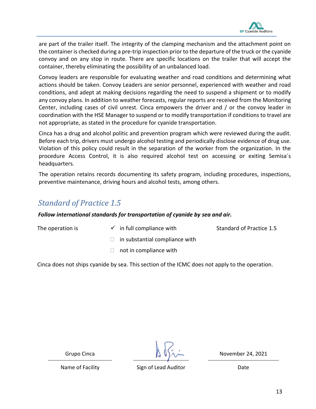

are part of the trailer itself. The integrity of the clamping mechanism and the attachment point on the container is checked during a pre-trip inspection prior to the departure of the truck or the cyanide convoy and on any stop in route. There are specific locations on the trailer that will accept the container, thereby eliminating the possibility of an unbalanced load.

Convoy leaders are responsible for evaluating weather and road conditions and determining what actions should be taken. Convoy Leaders are senior personnel, experienced with weather and road conditions, and adept at making decisions regarding the need to suspend a shipment or to modify any convoy plans. In addition to weather forecasts, regular reports are received from the Monitoring Center, including cases of civil unrest. Cinca empowers the driver and / or the convoy leader in coordination with the HSE Manager to suspend or to modify transportation if conditions to travel are not appropriate, as stated in the procedure for cyanide transportation.

Cinca has a drug and alcohol politic and prevention program which were reviewed during the audit. Before each trip, drivers must undergo alcohol testing and periodically disclose evidence of drug use. Violation of this policy could result in the separation of the worker from the organization. In the procedure Access Control, it is also required alcohol test on accessing or exiting Semisa´s headquarters.

The operation retains records documenting its safety program, including procedures, inspections, preventive maintenance, driving hours and alcohol tests, among others.

#### <span id="page-12-0"></span>*Standard of Practice 1.5*

*Follow international standards for transportation of cyanide by sea and air.*

The operation is  $\checkmark$  in full compliance with Standard of Practice 1.5

- $\Box$  in substantial compliance with
- $\Box$  not in compliance with

Cinca does not ships cyanide by sea. This section of the ICMC does not apply to the operation.

Grupo Cinca  $\mathbb{A} \cup \mathbb{A}$  November 24, 2021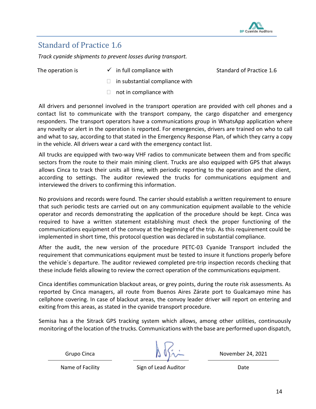

#### <span id="page-13-0"></span>Standard of Practice 1.6

*Track cyanide shipments to prevent losses during transport.*

The operation is  $\checkmark$  in full compliance with Standard of Practice 1.6

- $\Box$  in substantial compliance with
- $\Box$  not in compliance with

All drivers and personnel involved in the transport operation are provided with cell phones and a contact list to communicate with the transport company, the cargo dispatcher and emergency responders. The transport operators have a communications group in WhatsApp application where any novelty or alert in the operation is reported. For emergencies, drivers are trained on who to call and what to say, according to that stated in the Emergency Response Plan, of which they carry a copy in the vehicle. All drivers wear a card with the emergency contact list.

All trucks are equipped with two-way VHF radios to communicate between them and from specific sectors from the route to their main mining client. Trucks are also equipped with GPS that always allows Cinca to track their units all time, with periodic reporting to the operation and the client, according to settings. The auditor reviewed the trucks for communications equipment and interviewed the drivers to confirming this information.

No provisions and records were found. The carrier should establish a written requirement to ensure that such periodic tests are carried out on any communication equipment available to the vehicle operator and records demonstrating the application of the procedure should be kept. Cinca was required to have a written statement establishing must check the proper functioning of the communications equipment of the convoy at the beginning of the trip. As this requirement could be implemented in short time, this protocol question was declared in substantial compliance.

After the audit, the new version of the procedure PETC-03 Cyanide Transport included the requirement that communications equipment must be tested to insure it functions properly before the vehicle´s departure. The auditor reviewed completed pre-trip inspection records checking that these include fields allowing to review the correct operation of the communications equipment.

Cinca identifies communication blackout areas, or grey points, during the route risk assessments. As reported by Cinca managers, all route from Buenos Aires Zárate port to Gualcamayo mine has cellphone covering. In case of blackout areas, the convoy leader driver will report on entering and exiting from this areas, as stated in the cyanide transport procedure.

Semisa has a the Sitrack GPS tracking system which allows, among other utilities, continuously monitoring of the location of the trucks. Communications with the base are performed upon dispatch,

Name of Facility **Sign of Lead Auditor** Date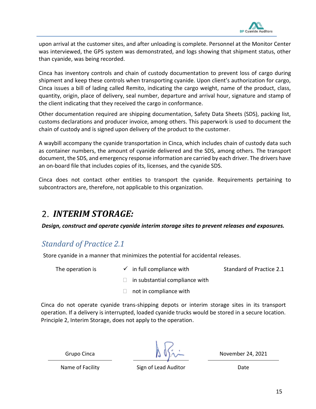

upon arrival at the customer sites, and after unloading is complete. Personnel at the Monitor Center was interviewed, the GPS system was demonstrated, and logs showing that shipment status, other than cyanide, was being recorded.

Cinca has inventory controls and chain of custody documentation to prevent loss of cargo during shipment and keep these controls when transporting cyanide. Upon client's authorization for cargo, Cinca issues a bill of lading called Remito, indicating the cargo weight, name of the product, class, quantity, origin, place of delivery, seal number, departure and arrival hour, signature and stamp of the client indicating that they received the cargo in conformance.

Other documentation required are shipping documentation, Safety Data Sheets (SDS), packing list, customs declarations and producer invoice, among others. This paperwork is used to document the chain of custody and is signed upon delivery of the product to the customer.

A waybill accompany the cyanide transportation in Cinca, which includes chain of custody data such as container numbers, the amount of cyanide delivered and the SDS, among others. The transport document, the SDS, and emergency response information are carried by each driver. The drivers have an on-board file that includes copies of its, licenses, and the cyanide SDS.

Cinca does not contact other entities to transport the cyanide. Requirements pertaining to subcontractors are, therefore, not applicable to this organization.

# <span id="page-14-0"></span>*INTERIM STORAGE:*

*Design, construct and operate cyanide interim storage sites to prevent releases and exposures.*

#### <span id="page-14-1"></span>*Standard of Practice 2.1*

Store cyanide in a manner that minimizes the potential for accidental releases.

The operation is  $\checkmark$  in full compliance with Standard of Practice 2.1

- $\Box$  in substantial compliance with
- $\Box$  not in compliance with

Cinca do not operate cyanide trans-shipping depots or interim storage sites in its transport operation. If a delivery is interrupted, loaded cyanide trucks would be stored in a secure location. Principle 2, Interim Storage, does not apply to the operation.

Name of Facility **Sign of Lead Auditor** Date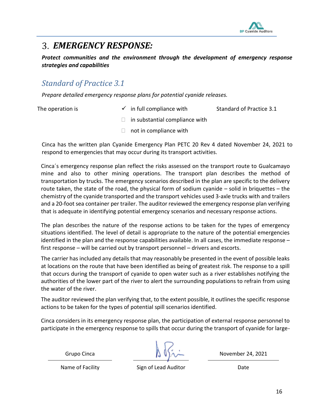

## <span id="page-15-0"></span>*EMERGENCY RESPONSE:*

*Protect communities and the environment through the development of emergency response strategies and capabilities*

#### <span id="page-15-1"></span>*Standard of Practice 3.1*

*Prepare detailed emergency response plans for potential cyanide releases.*

- The operation is  $\checkmark$  in full compliance with Standard of Practice 3.1
	- $\Box$  in substantial compliance with
	- $\Box$  not in compliance with

Cinca has the written plan Cyanide Emergency Plan PETC 20 Rev 4 dated November 24, 2021 to respond to emergencies that may occur during its transport activities.

Cinca´s emergency response plan reflect the risks assessed on the transport route to Gualcamayo mine and also to other mining operations. The transport plan describes the method of transportation by trucks. The emergency scenarios described in the plan are specific to the delivery route taken, the state of the road, the physical form of sodium cyanide – solid in briquettes – the chemistry of the cyanide transported and the transport vehicles used 3-axle trucks with and trailers and a 20-foot sea container per trailer. The auditor reviewed the emergency response plan verifying that is adequate in identifying potential emergency scenarios and necessary response actions.

The plan describes the nature of the response actions to be taken for the types of emergency situations identified. The level of detail is appropriate to the nature of the potential emergencies identified in the plan and the response capabilities available. In all cases, the immediate response – first response – will be carried out by transport personnel – drivers and escorts.

The carrier has included any details that may reasonably be presented in the event of possible leaks at locations on the route that have been identified as being of greatest risk. The response to a spill that occurs during the transport of cyanide to open water such as a river establishes notifying the authorities of the lower part of the river to alert the surrounding populations to refrain from using the water of the river.

The auditor reviewed the plan verifying that, to the extent possible, it outlines the specific response actions to be taken for the types of potential spill scenarios identified.

Cinca considers in its emergency response plan, the participation of external response personnel to participate in the emergency response to spills that occur during the transport of cyanide for large-

Name of Facility **Sign of Lead Auditor** Date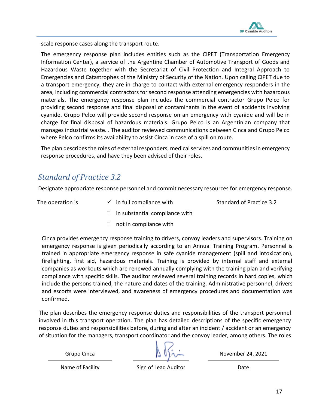

scale response cases along the transport route.

The emergency response plan includes entities such as the CIPET (Transportation Emergency Information Center), a service of the Argentine Chamber of Automotive Transport of Goods and Hazardous Waste together with the Secretariat of Civil Protection and Integral Approach to Emergencies and Catastrophes of the Ministry of Security of the Nation. Upon calling CIPET due to a transport emergency, they are in charge to contact with external emergency responders in the area, including commercial contractors for second response attending emergencies with hazardous materials. The emergency response plan includes the commercial contractor Grupo Pelco for providing second response and final disposal of contaminants in the event of accidents involving cyanide. Grupo Pelco will provide second response on an emergency with cyanide and will be in charge for final disposal of hazardous materials. Grupo Pelco is an Argentinian company that manages industrial waste. . The auditor reviewed communications between Cinca and Grupo Pelco where Pelco confirms its availability to assist Cinca in case of a spill on route.

The plan describes the roles of external responders, medical services and communities in emergency response procedures, and have they been advised of their roles.

#### <span id="page-16-0"></span>*Standard of Practice 3.2*

Designate appropriate response personnel and commit necessary resources for emergency response.

The operation is  $\checkmark$  in full compliance with Standard of Practice 3.2

- $\Box$  in substantial compliance with
- $\Box$  not in compliance with

Cinca provides emergency response training to drivers, convoy leaders and supervisors. Training on emergency response is given periodically according to an Annual Training Program. Personnel is trained in appropriate emergency response in safe cyanide management (spill and intoxication), firefighting, first aid, hazardous materials. Training is provided by internal staff and external companies as workouts which are renewed annually complying with the training plan and verifying compliance with specific skills. The auditor reviewed several training records in hard copies, which include the persons trained, the nature and dates of the training. Administrative personnel, drivers and escorts were interviewed, and awareness of emergency procedures and documentation was confirmed.

The plan describes the emergency response duties and responsibilities of the transport personnel involved in this transport operation. The plan has detailed descriptions of the specific emergency response duties and responsibilities before, during and after an incident / accident or an emergency of situation for the managers, transport coordinator and the convoy leader, among others. The roles

Grupo Cinca  $\begin{pmatrix} 1 & 1 \\ 1 & 1 \end{pmatrix}$   $\begin{pmatrix} 1 & 1 \\ 1 & 1 \end{pmatrix}$  November 24, 2021

Name of Facility **Sign of Lead Auditor** Date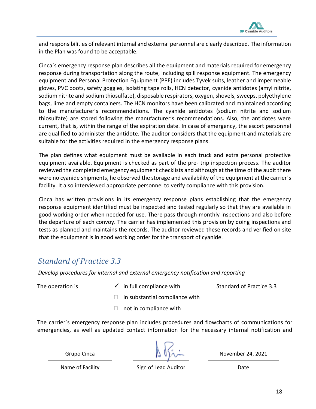

and responsibilities of relevant internal and external personnel are clearly described. The information in the Plan was found to be acceptable.

Cinca´s emergency response plan describes all the equipment and materials required for emergency response during transportation along the route, including spill response equipment. The emergency equipment and Personal Protection Equipment (PPE) includes Tyvek suits, leather and impermeable gloves, PVC boots, safety goggles, isolating tape rolls, HCN detector, cyanide antidotes (amyl nitrite, sodium nitrite and sodium thiosulfate), disposable respirators, oxygen, shovels, sweeps, polyethylene bags, lime and empty containers. The HCN monitors have been calibrated and maintained according to the manufacturer's recommendations. The cyanide antidotes (sodium nitrite and sodium thiosulfate) are stored following the manufacturer's recommendations. Also, the antidotes were current, that is, within the range of the expiration date. In case of emergency, the escort personnel are qualified to administer the antidote. The auditor considers that the equipment and materials are suitable for the activities required in the emergency response plans.

The plan defines what equipment must be available in each truck and extra personal protective equipment available. Equipment is checked as part of the pre- trip inspection process. The auditor reviewed the completed emergency equipment checklists and although at the time of the audit there were no cyanide shipments, he observed the storage and availability of the equipment at the carrier's facility. It also interviewed appropriate personnel to verify compliance with this provision.

Cinca has written provisions in its emergency response plans establishing that the emergency response equipment identified must be inspected and tested regularly so that they are available in good working order when needed for use. There pass through monthly inspections and also before the departure of each convoy. The carrier has implemented this provision by doing inspections and tests as planned and maintains the records. The auditor reviewed these records and verified on site that the equipment is in good working order for the transport of cyanide.

#### <span id="page-17-0"></span>*Standard of Practice 3.3*

*Develop procedures for internal and external emergency notification and reporting*

The operation is  $\checkmark$  in full compliance with Standard of Practice 3.3

- $\Box$  in substantial compliance with
- $\Box$  not in compliance with

The carrier´s emergency response plan includes procedures and flowcharts of communications for emergencies, as well as updated contact information for the necessary internal notification and

Grupo Cinca  $\mathbb{A} \cup \mathbb{A}$  November 24, 2021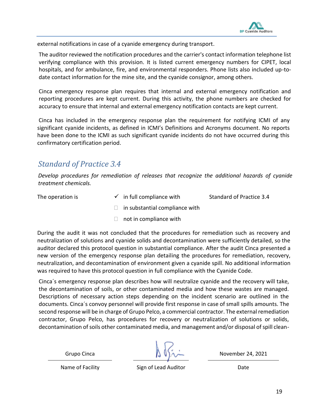

external notifications in case of a cyanide emergency during transport.

The auditor reviewed the notification procedures and the carrier's contact information telephone list verifying compliance with this provision. It is listed current emergency numbers for CIPET, local hospitals, and for ambulance, fire, and environmental responders. Phone lists also included up-todate contact information for the mine site, and the cyanide consignor, among others.

Cinca emergency response plan requires that internal and external emergency notification and reporting procedures are kept current. During this activity, the phone numbers are checked for accuracy to ensure that internal and external emergency notification contacts are kept current.

Cinca has included in the emergency response plan the requirement for notifying ICMI of any significant cyanide incidents, as defined in ICMI's Definitions and Acronyms document. No reports have been done to the ICMI as such significant cyanide incidents do not have occurred during this confirmatory certification period.

#### <span id="page-18-0"></span>*Standard of Practice 3.4*

*Develop procedures for remediation of releases that recognize the additional hazards of cyanide treatment chemicals.*

The operation is  $\checkmark$  in full compliance with Standard of Practice 3.4

- $\Box$  in substantial compliance with
- $\Box$  not in compliance with

During the audit it was not concluded that the procedures for remediation such as recovery and neutralization of solutions and cyanide solids and decontamination were sufficiently detailed, so the auditor declared this protocol question in substantial compliance. After the audit Cinca presented a new version of the emergency response plan detailing the procedures for remediation, recovery, neutralization, and decontamination of environment given a cyanide spill. No additional information was required to have this protocol question in full compliance with the Cyanide Code.

Cinca´s emergency response plan describes how will neutralize cyanide and the recovery will take, the decontamination of soils, or other contaminated media and how these wastes are managed. Descriptions of necessary action steps depending on the incident scenario are outlined in the documents. Cinca´s convoy personnel will provide first response in case of small spills amounts. The second response will be in charge of Grupo Pelco, a commercial contractor. The external remediation contractor, Grupo Pelco, has procedures for recovery or neutralization of solutions or solids, decontamination of soils other contaminated media, and management and/or disposal of spill clean-

Name of Facility **Sign of Lead Auditor** Date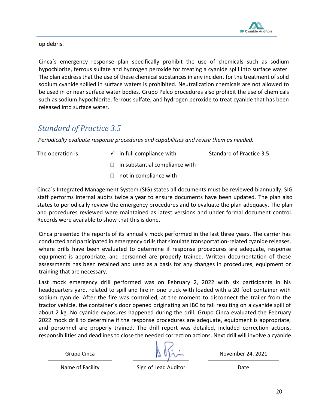

up debris.

Cinca´s emergency response plan specifically prohibit the use of chemicals such as sodium hypochlorite, ferrous sulfate and hydrogen peroxide for treating a cyanide spill into surface water. The plan address that the use of these chemical substances in any incident for the treatment of solid sodium cyanide spilled in surface waters is prohibited. Neutralization chemicals are not allowed to be used in or near surface water bodies. Grupo Pelco procedures also prohibit the use of chemicals such as sodium hypochlorite, ferrous sulfate, and hydrogen peroxide to treat cyanide that has been released into surface water.

#### <span id="page-19-0"></span>*Standard of Practice 3.5*

*Periodically evaluate response procedures and capabilities and revise them as needed.*

The operation is  $\checkmark$  in full compliance with Standard of Practice 3.5

- $\Box$  in substantial compliance with
- $\Box$  not in compliance with

Cinca´s Integrated Management System (SIG) states all documents must be reviewed biannually. SIG staff performs internal audits twice a year to ensure documents have been updated. The plan also states to periodically review the emergency procedures and to evaluate the plan adequacy. The plan and procedures reviewed were maintained as latest versions and under formal document control. Records were available to show that this is done.

Cinca presented the reports of its annually mock performed in the last three years. The carrier has conducted and participated in emergency drills that simulate transportation-related cyanide releases, where drills have been evaluated to determine if response procedures are adequate, response equipment is appropriate, and personnel are properly trained. Written documentation of these assessments has been retained and used as a basis for any changes in procedures, equipment or training that are necessary.

Last mock emergency drill performed was on February 2, 2022 with six participants in his headquarters yard, related to spill and fire in one truck with loaded with a 20 foot container with sodium cyanide. After the fire was controlled, at the moment to disconnect the trailer from the tractor vehicle, the container´s door opened originating an IBC to fall resulting on a cyanide spill of about 2 kg. No cyanide exposures happened during the drill. Grupo Cinca evaluated the February 2022 mock drill to determine if the response procedures are adequate, equipment is appropriate, and personnel are properly trained. The drill report was detailed, included correction actions, responsibilities and deadlines to close the needed correction actions. Next drill will involve a cyanide

Grupo Cinca  $\begin{array}{c} \boxed{1} \ \boxed{1} \ \boxed{2} \ \end{array}$  November 24, 2021